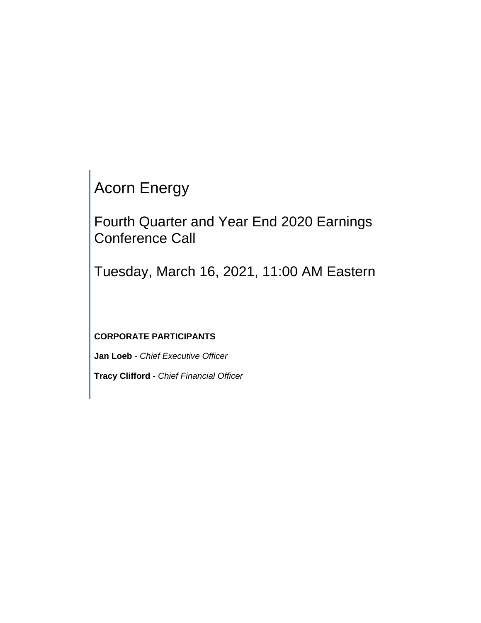# Acorn Energy

Fourth Quarter and Year End 2020 Earnings Conference Call

Tuesday, March 16, 2021, 11:00 AM Eastern

## **CORPORATE PARTICIPANTS**

**Jan Loeb** - *Chief Executive Officer*

**Tracy Clifford** - *Chief Financial Officer*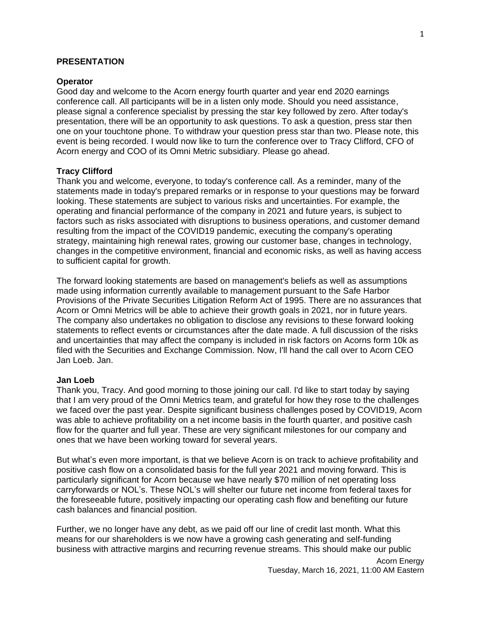## **PRESENTATION**

#### **Operator**

Good day and welcome to the Acorn energy fourth quarter and year end 2020 earnings conference call. All participants will be in a listen only mode. Should you need assistance, please signal a conference specialist by pressing the star key followed by zero. After today's presentation, there will be an opportunity to ask questions. To ask a question, press star then one on your touchtone phone. To withdraw your question press star than two. Please note, this event is being recorded. I would now like to turn the conference over to Tracy Clifford, CFO of Acorn energy and COO of its Omni Metric subsidiary. Please go ahead.

## **Tracy Clifford**

Thank you and welcome, everyone, to today's conference call. As a reminder, many of the statements made in today's prepared remarks or in response to your questions may be forward looking. These statements are subject to various risks and uncertainties. For example, the operating and financial performance of the company in 2021 and future years, is subject to factors such as risks associated with disruptions to business operations, and customer demand resulting from the impact of the COVID19 pandemic, executing the company's operating strategy, maintaining high renewal rates, growing our customer base, changes in technology, changes in the competitive environment, financial and economic risks, as well as having access to sufficient capital for growth.

The forward looking statements are based on management's beliefs as well as assumptions made using information currently available to management pursuant to the Safe Harbor Provisions of the Private Securities Litigation Reform Act of 1995. There are no assurances that Acorn or Omni Metrics will be able to achieve their growth goals in 2021, nor in future years. The company also undertakes no obligation to disclose any revisions to these forward looking statements to reflect events or circumstances after the date made. A full discussion of the risks and uncertainties that may affect the company is included in risk factors on Acorns form 10k as filed with the Securities and Exchange Commission. Now, I'll hand the call over to Acorn CEO Jan Loeb. Jan.

#### **Jan Loeb**

Thank you, Tracy. And good morning to those joining our call. I'd like to start today by saying that I am very proud of the Omni Metrics team, and grateful for how they rose to the challenges we faced over the past year. Despite significant business challenges posed by COVID19, Acorn was able to achieve profitability on a net income basis in the fourth quarter, and positive cash flow for the quarter and full year. These are very significant milestones for our company and ones that we have been working toward for several years.

But what's even more important, is that we believe Acorn is on track to achieve profitability and positive cash flow on a consolidated basis for the full year 2021 and moving forward. This is particularly significant for Acorn because we have nearly \$70 million of net operating loss carryforwards or NOL's. These NOL's will shelter our future net income from federal taxes for the foreseeable future, positively impacting our operating cash flow and benefiting our future cash balances and financial position.

Further, we no longer have any debt, as we paid off our line of credit last month. What this means for our shareholders is we now have a growing cash generating and self-funding business with attractive margins and recurring revenue streams. This should make our public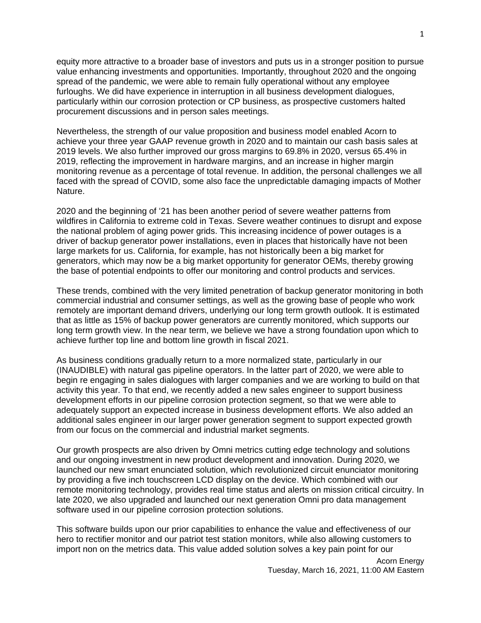equity more attractive to a broader base of investors and puts us in a stronger position to pursue value enhancing investments and opportunities. Importantly, throughout 2020 and the ongoing spread of the pandemic, we were able to remain fully operational without any employee furloughs. We did have experience in interruption in all business development dialogues, particularly within our corrosion protection or CP business, as prospective customers halted procurement discussions and in person sales meetings.

Nevertheless, the strength of our value proposition and business model enabled Acorn to achieve your three year GAAP revenue growth in 2020 and to maintain our cash basis sales at 2019 levels. We also further improved our gross margins to 69.8% in 2020, versus 65.4% in 2019, reflecting the improvement in hardware margins, and an increase in higher margin monitoring revenue as a percentage of total revenue. In addition, the personal challenges we all faced with the spread of COVID, some also face the unpredictable damaging impacts of Mother Nature.

2020 and the beginning of '21 has been another period of severe weather patterns from wildfires in California to extreme cold in Texas. Severe weather continues to disrupt and expose the national problem of aging power grids. This increasing incidence of power outages is a driver of backup generator power installations, even in places that historically have not been large markets for us. California, for example, has not historically been a big market for generators, which may now be a big market opportunity for generator OEMs, thereby growing the base of potential endpoints to offer our monitoring and control products and services.

These trends, combined with the very limited penetration of backup generator monitoring in both commercial industrial and consumer settings, as well as the growing base of people who work remotely are important demand drivers, underlying our long term growth outlook. It is estimated that as little as 15% of backup power generators are currently monitored, which supports our long term growth view. In the near term, we believe we have a strong foundation upon which to achieve further top line and bottom line growth in fiscal 2021.

As business conditions gradually return to a more normalized state, particularly in our (INAUDIBLE) with natural gas pipeline operators. In the latter part of 2020, we were able to begin re engaging in sales dialogues with larger companies and we are working to build on that activity this year. To that end, we recently added a new sales engineer to support business development efforts in our pipeline corrosion protection segment, so that we were able to adequately support an expected increase in business development efforts. We also added an additional sales engineer in our larger power generation segment to support expected growth from our focus on the commercial and industrial market segments.

Our growth prospects are also driven by Omni metrics cutting edge technology and solutions and our ongoing investment in new product development and innovation. During 2020, we launched our new smart enunciated solution, which revolutionized circuit enunciator monitoring by providing a five inch touchscreen LCD display on the device. Which combined with our remote monitoring technology, provides real time status and alerts on mission critical circuitry. In late 2020, we also upgraded and launched our next generation Omni pro data management software used in our pipeline corrosion protection solutions.

This software builds upon our prior capabilities to enhance the value and effectiveness of our hero to rectifier monitor and our patriot test station monitors, while also allowing customers to import non on the metrics data. This value added solution solves a key pain point for our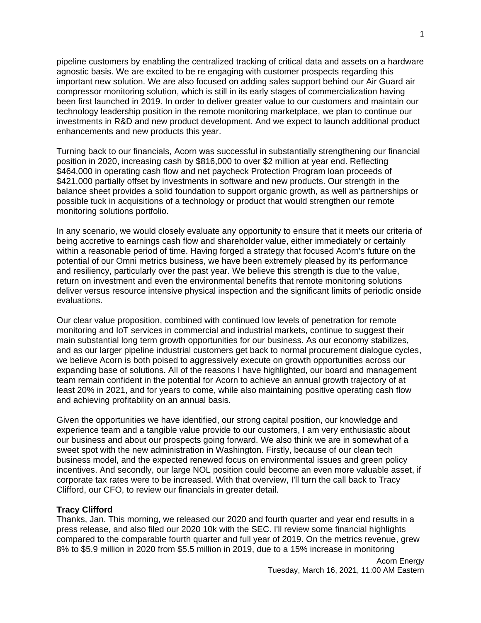pipeline customers by enabling the centralized tracking of critical data and assets on a hardware agnostic basis. We are excited to be re engaging with customer prospects regarding this important new solution. We are also focused on adding sales support behind our Air Guard air compressor monitoring solution, which is still in its early stages of commercialization having been first launched in 2019. In order to deliver greater value to our customers and maintain our technology leadership position in the remote monitoring marketplace, we plan to continue our investments in R&D and new product development. And we expect to launch additional product enhancements and new products this year.

Turning back to our financials, Acorn was successful in substantially strengthening our financial position in 2020, increasing cash by \$816,000 to over \$2 million at year end. Reflecting \$464,000 in operating cash flow and net paycheck Protection Program loan proceeds of \$421,000 partially offset by investments in software and new products. Our strength in the balance sheet provides a solid foundation to support organic growth, as well as partnerships or possible tuck in acquisitions of a technology or product that would strengthen our remote monitoring solutions portfolio.

In any scenario, we would closely evaluate any opportunity to ensure that it meets our criteria of being accretive to earnings cash flow and shareholder value, either immediately or certainly within a reasonable period of time. Having forged a strategy that focused Acorn's future on the potential of our Omni metrics business, we have been extremely pleased by its performance and resiliency, particularly over the past year. We believe this strength is due to the value, return on investment and even the environmental benefits that remote monitoring solutions deliver versus resource intensive physical inspection and the significant limits of periodic onside evaluations.

Our clear value proposition, combined with continued low levels of penetration for remote monitoring and IoT services in commercial and industrial markets, continue to suggest their main substantial long term growth opportunities for our business. As our economy stabilizes, and as our larger pipeline industrial customers get back to normal procurement dialogue cycles, we believe Acorn is both poised to aggressively execute on growth opportunities across our expanding base of solutions. All of the reasons I have highlighted, our board and management team remain confident in the potential for Acorn to achieve an annual growth trajectory of at least 20% in 2021, and for years to come, while also maintaining positive operating cash flow and achieving profitability on an annual basis.

Given the opportunities we have identified, our strong capital position, our knowledge and experience team and a tangible value provide to our customers, I am very enthusiastic about our business and about our prospects going forward. We also think we are in somewhat of a sweet spot with the new administration in Washington. Firstly, because of our clean tech business model, and the expected renewed focus on environmental issues and green policy incentives. And secondly, our large NOL position could become an even more valuable asset, if corporate tax rates were to be increased. With that overview, I'll turn the call back to Tracy Clifford, our CFO, to review our financials in greater detail.

#### **Tracy Clifford**

Thanks, Jan. This morning, we released our 2020 and fourth quarter and year end results in a press release, and also filed our 2020 10k with the SEC. I'll review some financial highlights compared to the comparable fourth quarter and full year of 2019. On the metrics revenue, grew 8% to \$5.9 million in 2020 from \$5.5 million in 2019, due to a 15% increase in monitoring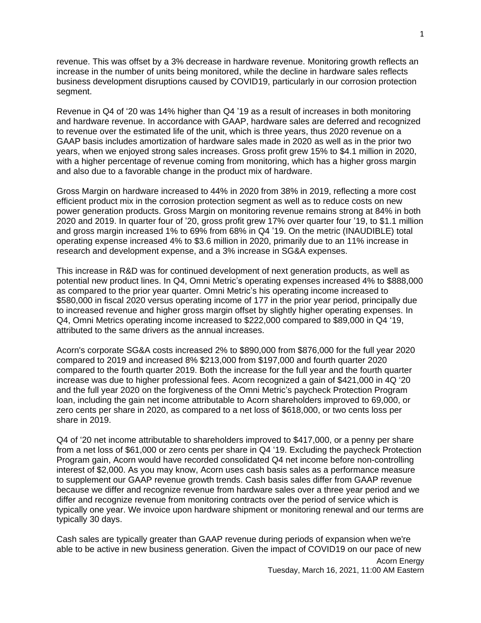revenue. This was offset by a 3% decrease in hardware revenue. Monitoring growth reflects an increase in the number of units being monitored, while the decline in hardware sales reflects business development disruptions caused by COVID19, particularly in our corrosion protection segment.

Revenue in Q4 of '20 was 14% higher than Q4 '19 as a result of increases in both monitoring and hardware revenue. In accordance with GAAP, hardware sales are deferred and recognized to revenue over the estimated life of the unit, which is three years, thus 2020 revenue on a GAAP basis includes amortization of hardware sales made in 2020 as well as in the prior two years, when we enjoyed strong sales increases. Gross profit grew 15% to \$4.1 million in 2020, with a higher percentage of revenue coming from monitoring, which has a higher gross margin and also due to a favorable change in the product mix of hardware.

Gross Margin on hardware increased to 44% in 2020 from 38% in 2019, reflecting a more cost efficient product mix in the corrosion protection segment as well as to reduce costs on new power generation products. Gross Margin on monitoring revenue remains strong at 84% in both 2020 and 2019. In quarter four of '20, gross profit grew 17% over quarter four '19, to \$1.1 million and gross margin increased 1% to 69% from 68% in Q4 '19. On the metric (INAUDIBLE) total operating expense increased 4% to \$3.6 million in 2020, primarily due to an 11% increase in research and development expense, and a 3% increase in SG&A expenses.

This increase in R&D was for continued development of next generation products, as well as potential new product lines. In Q4, Omni Metric's operating expenses increased 4% to \$888,000 as compared to the prior year quarter. Omni Metric's his operating income increased to \$580,000 in fiscal 2020 versus operating income of 177 in the prior year period, principally due to increased revenue and higher gross margin offset by slightly higher operating expenses. In Q4, Omni Metrics operating income increased to \$222,000 compared to \$89,000 in Q4 '19, attributed to the same drivers as the annual increases.

Acorn's corporate SG&A costs increased 2% to \$890,000 from \$876,000 for the full year 2020 compared to 2019 and increased 8% \$213,000 from \$197,000 and fourth quarter 2020 compared to the fourth quarter 2019. Both the increase for the full year and the fourth quarter increase was due to higher professional fees. Acorn recognized a gain of \$421,000 in 4Q '20 and the full year 2020 on the forgiveness of the Omni Metric's paycheck Protection Program loan, including the gain net income attributable to Acorn shareholders improved to 69,000, or zero cents per share in 2020, as compared to a net loss of \$618,000, or two cents loss per share in 2019.

Q4 of '20 net income attributable to shareholders improved to \$417,000, or a penny per share from a net loss of \$61,000 or zero cents per share in Q4 '19. Excluding the paycheck Protection Program gain, Acorn would have recorded consolidated Q4 net income before non-controlling interest of \$2,000. As you may know, Acorn uses cash basis sales as a performance measure to supplement our GAAP revenue growth trends. Cash basis sales differ from GAAP revenue because we differ and recognize revenue from hardware sales over a three year period and we differ and recognize revenue from monitoring contracts over the period of service which is typically one year. We invoice upon hardware shipment or monitoring renewal and our terms are typically 30 days.

Cash sales are typically greater than GAAP revenue during periods of expansion when we're able to be active in new business generation. Given the impact of COVID19 on our pace of new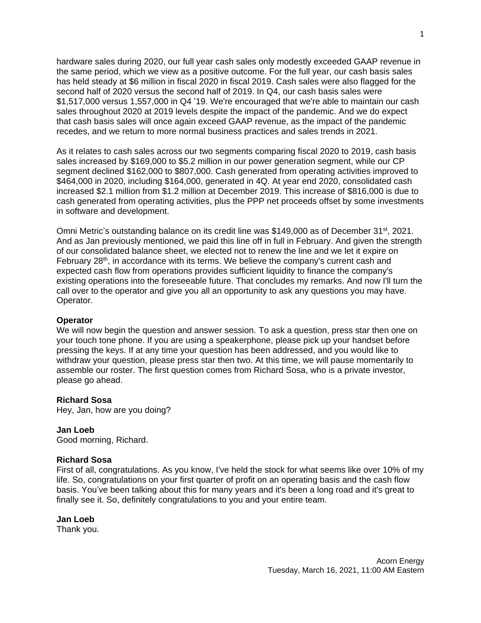hardware sales during 2020, our full year cash sales only modestly exceeded GAAP revenue in the same period, which we view as a positive outcome. For the full year, our cash basis sales has held steady at \$6 million in fiscal 2020 in fiscal 2019. Cash sales were also flagged for the second half of 2020 versus the second half of 2019. In Q4, our cash basis sales were \$1,517,000 versus 1,557,000 in Q4 '19. We're encouraged that we're able to maintain our cash sales throughout 2020 at 2019 levels despite the impact of the pandemic. And we do expect that cash basis sales will once again exceed GAAP revenue, as the impact of the pandemic recedes, and we return to more normal business practices and sales trends in 2021.

As it relates to cash sales across our two segments comparing fiscal 2020 to 2019, cash basis sales increased by \$169,000 to \$5.2 million in our power generation segment, while our CP segment declined \$162,000 to \$807,000. Cash generated from operating activities improved to \$464,000 in 2020, including \$164,000, generated in 4Q. At year end 2020, consolidated cash increased \$2.1 million from \$1.2 million at December 2019. This increase of \$816,000 is due to cash generated from operating activities, plus the PPP net proceeds offset by some investments in software and development.

Omni Metric's outstanding balance on its credit line was \$149,000 as of December 31<sup>st</sup>, 2021. And as Jan previously mentioned, we paid this line off in full in February. And given the strength of our consolidated balance sheet, we elected not to renew the line and we let it expire on February 28<sup>th</sup>, in accordance with its terms. We believe the company's current cash and expected cash flow from operations provides sufficient liquidity to finance the company's existing operations into the foreseeable future. That concludes my remarks. And now I'll turn the call over to the operator and give you all an opportunity to ask any questions you may have. Operator.

## **Operator**

We will now begin the question and answer session. To ask a question, press star then one on your touch tone phone. If you are using a speakerphone, please pick up your handset before pressing the keys. If at any time your question has been addressed, and you would like to withdraw your question, please press star then two. At this time, we will pause momentarily to assemble our roster. The first question comes from Richard Sosa, who is a private investor, please go ahead.

#### **Richard Sosa**

Hey, Jan, how are you doing?

#### **Jan Loeb**

Good morning, Richard.

#### **Richard Sosa**

First of all, congratulations. As you know, I've held the stock for what seems like over 10% of my life. So, congratulations on your first quarter of profit on an operating basis and the cash flow basis. You've been talking about this for many years and it's been a long road and it's great to finally see it. So, definitely congratulations to you and your entire team.

## **Jan Loeb**

Thank you.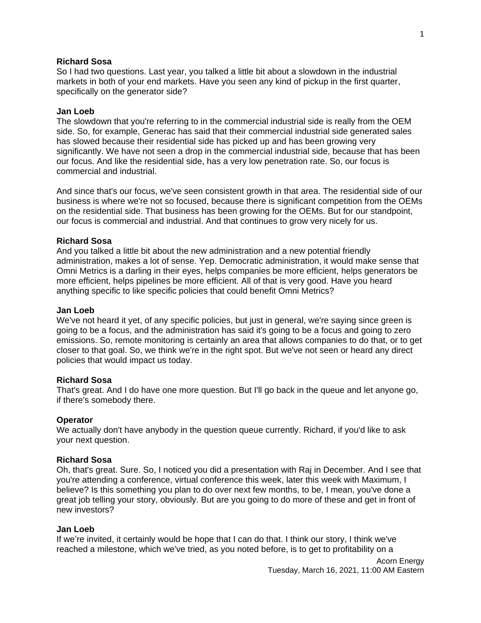## **Richard Sosa**

So I had two questions. Last year, you talked a little bit about a slowdown in the industrial markets in both of your end markets. Have you seen any kind of pickup in the first quarter, specifically on the generator side?

#### **Jan Loeb**

The slowdown that you're referring to in the commercial industrial side is really from the OEM side. So, for example, Generac has said that their commercial industrial side generated sales has slowed because their residential side has picked up and has been growing very significantly. We have not seen a drop in the commercial industrial side, because that has been our focus. And like the residential side, has a very low penetration rate. So, our focus is commercial and industrial.

And since that's our focus, we've seen consistent growth in that area. The residential side of our business is where we're not so focused, because there is significant competition from the OEMs on the residential side. That business has been growing for the OEMs. But for our standpoint, our focus is commercial and industrial. And that continues to grow very nicely for us.

### **Richard Sosa**

And you talked a little bit about the new administration and a new potential friendly administration, makes a lot of sense. Yep. Democratic administration, it would make sense that Omni Metrics is a darling in their eyes, helps companies be more efficient, helps generators be more efficient, helps pipelines be more efficient. All of that is very good. Have you heard anything specific to like specific policies that could benefit Omni Metrics?

#### **Jan Loeb**

We've not heard it yet, of any specific policies, but just in general, we're saying since green is going to be a focus, and the administration has said it's going to be a focus and going to zero emissions. So, remote monitoring is certainly an area that allows companies to do that, or to get closer to that goal. So, we think we're in the right spot. But we've not seen or heard any direct policies that would impact us today.

#### **Richard Sosa**

That's great. And I do have one more question. But I'll go back in the queue and let anyone go, if there's somebody there.

#### **Operator**

We actually don't have anybody in the question queue currently. Richard, if you'd like to ask your next question.

#### **Richard Sosa**

Oh, that's great. Sure. So, I noticed you did a presentation with Raj in December. And I see that you're attending a conference, virtual conference this week, later this week with Maximum, I believe? Is this something you plan to do over next few months, to be, I mean, you've done a great job telling your story, obviously. But are you going to do more of these and get in front of new investors?

#### **Jan Loeb**

If we're invited, it certainly would be hope that I can do that. I think our story, I think we've reached a milestone, which we've tried, as you noted before, is to get to profitability on a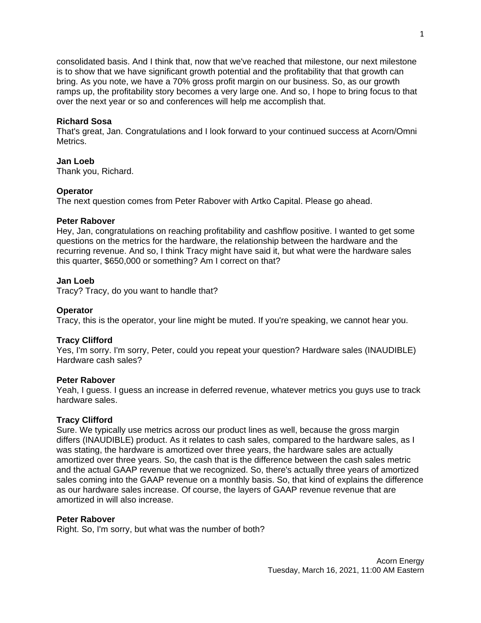consolidated basis. And I think that, now that we've reached that milestone, our next milestone is to show that we have significant growth potential and the profitability that that growth can bring. As you note, we have a 70% gross profit margin on our business. So, as our growth ramps up, the profitability story becomes a very large one. And so, I hope to bring focus to that over the next year or so and conferences will help me accomplish that.

## **Richard Sosa**

That's great, Jan. Congratulations and I look forward to your continued success at Acorn/Omni Metrics.

## **Jan Loeb**

Thank you, Richard.

## **Operator**

The next question comes from Peter Rabover with Artko Capital. Please go ahead.

## **Peter Rabover**

Hey, Jan, congratulations on reaching profitability and cashflow positive. I wanted to get some questions on the metrics for the hardware, the relationship between the hardware and the recurring revenue. And so, I think Tracy might have said it, but what were the hardware sales this quarter, \$650,000 or something? Am I correct on that?

## **Jan Loeb**

Tracy? Tracy, do you want to handle that?

## **Operator**

Tracy, this is the operator, your line might be muted. If you're speaking, we cannot hear you.

## **Tracy Clifford**

Yes, I'm sorry. I'm sorry, Peter, could you repeat your question? Hardware sales (INAUDIBLE) Hardware cash sales?

## **Peter Rabover**

Yeah, I guess. I guess an increase in deferred revenue, whatever metrics you guys use to track hardware sales.

## **Tracy Clifford**

Sure. We typically use metrics across our product lines as well, because the gross margin differs (INAUDIBLE) product. As it relates to cash sales, compared to the hardware sales, as I was stating, the hardware is amortized over three years, the hardware sales are actually amortized over three years. So, the cash that is the difference between the cash sales metric and the actual GAAP revenue that we recognized. So, there's actually three years of amortized sales coming into the GAAP revenue on a monthly basis. So, that kind of explains the difference as our hardware sales increase. Of course, the layers of GAAP revenue revenue that are amortized in will also increase.

## **Peter Rabover**

Right. So, I'm sorry, but what was the number of both?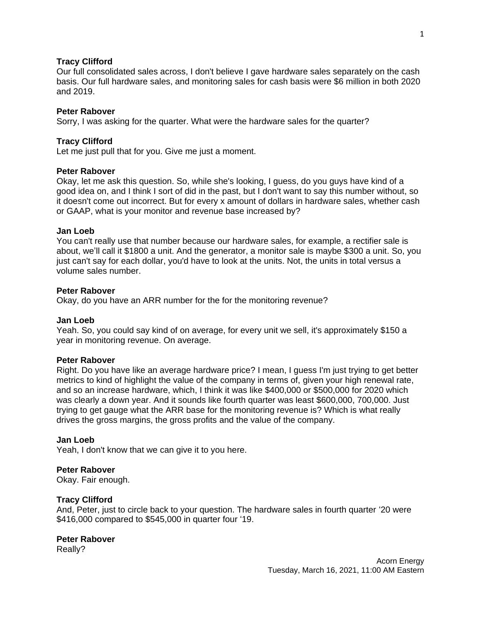## **Tracy Clifford**

Our full consolidated sales across, I don't believe I gave hardware sales separately on the cash basis. Our full hardware sales, and monitoring sales for cash basis were \$6 million in both 2020 and 2019.

#### **Peter Rabover**

Sorry, I was asking for the quarter. What were the hardware sales for the quarter?

## **Tracy Clifford**

Let me just pull that for you. Give me just a moment.

#### **Peter Rabover**

Okay, let me ask this question. So, while she's looking, I guess, do you guys have kind of a good idea on, and I think I sort of did in the past, but I don't want to say this number without, so it doesn't come out incorrect. But for every x amount of dollars in hardware sales, whether cash or GAAP, what is your monitor and revenue base increased by?

#### **Jan Loeb**

You can't really use that number because our hardware sales, for example, a rectifier sale is about, we'll call it \$1800 a unit. And the generator, a monitor sale is maybe \$300 a unit. So, you just can't say for each dollar, you'd have to look at the units. Not, the units in total versus a volume sales number.

#### **Peter Rabover**

Okay, do you have an ARR number for the for the monitoring revenue?

#### **Jan Loeb**

Yeah. So, you could say kind of on average, for every unit we sell, it's approximately \$150 a year in monitoring revenue. On average.

## **Peter Rabover**

Right. Do you have like an average hardware price? I mean, I guess I'm just trying to get better metrics to kind of highlight the value of the company in terms of, given your high renewal rate, and so an increase hardware, which, I think it was like \$400,000 or \$500,000 for 2020 which was clearly a down year. And it sounds like fourth quarter was least \$600,000, 700,000. Just trying to get gauge what the ARR base for the monitoring revenue is? Which is what really drives the gross margins, the gross profits and the value of the company.

#### **Jan Loeb**

Yeah, I don't know that we can give it to you here.

## **Peter Rabover**

Okay. Fair enough.

## **Tracy Clifford**

And, Peter, just to circle back to your question. The hardware sales in fourth quarter '20 were \$416,000 compared to \$545,000 in quarter four '19.

#### **Peter Rabover**

Really?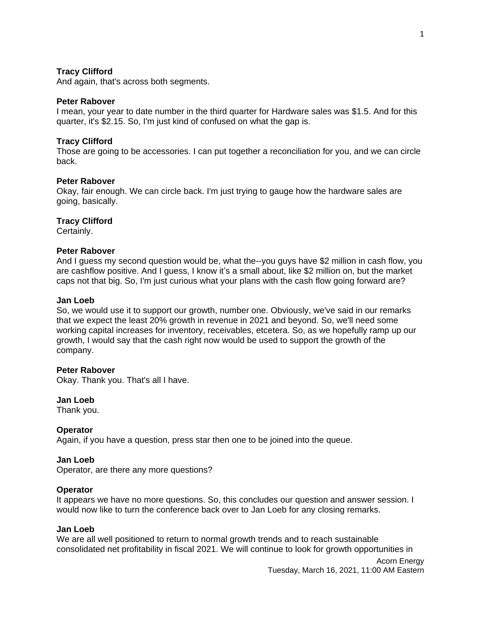### **Tracy Clifford**

And again, that's across both segments.

#### **Peter Rabover**

I mean, your year to date number in the third quarter for Hardware sales was \$1.5. And for this quarter, it's \$2.15. So, I'm just kind of confused on what the gap is.

## **Tracy Clifford**

Those are going to be accessories. I can put together a reconciliation for you, and we can circle back.

### **Peter Rabover**

Okay, fair enough. We can circle back. I'm just trying to gauge how the hardware sales are going, basically.

#### **Tracy Clifford**

Certainly.

## **Peter Rabover**

And I guess my second question would be, what the--you guys have \$2 million in cash flow, you are cashflow positive. And I guess, I know it's a small about, like \$2 million on, but the market caps not that big. So, I'm just curious what your plans with the cash flow going forward are?

#### **Jan Loeb**

So, we would use it to support our growth, number one. Obviously, we've said in our remarks that we expect the least 20% growth in revenue in 2021 and beyond. So, we'll need some working capital increases for inventory, receivables, etcetera. So, as we hopefully ramp up our growth, I would say that the cash right now would be used to support the growth of the company.

#### **Peter Rabover**

Okay. Thank you. That's all I have.

#### **Jan Loeb**

Thank you.

#### **Operator**

Again, if you have a question, press star then one to be joined into the queue.

#### **Jan Loeb**

Operator, are there any more questions?

#### **Operator**

It appears we have no more questions. So, this concludes our question and answer session. I would now like to turn the conference back over to Jan Loeb for any closing remarks.

#### **Jan Loeb**

We are all well positioned to return to normal growth trends and to reach sustainable consolidated net profitability in fiscal 2021. We will continue to look for growth opportunities in